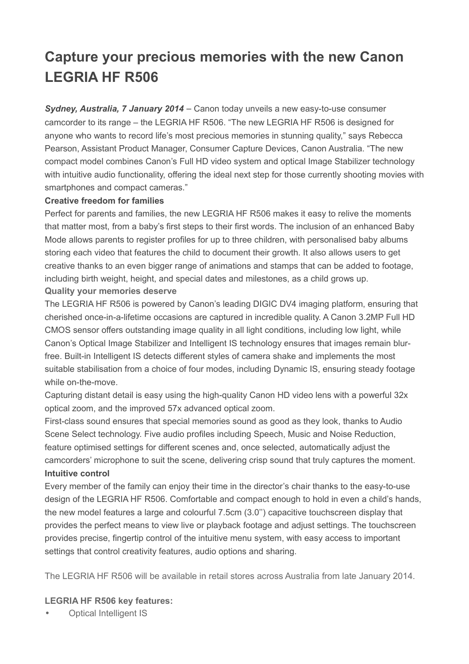## **Capture your precious memories with the new Canon LEGRIA HF R506**

*Sydney, Australia, 7 January 2014* – Canon today unveils a new easy-to-use consumer camcorder to its range – the LEGRIA HF R506. "The new LEGRIA HF R506 is designed for anyone who wants to record life's most precious memories in stunning quality," says Rebecca Pearson, Assistant Product Manager, Consumer Capture Devices, Canon Australia. "The new compact model combines Canon's Full HD video system and optical Image Stabilizer technology with intuitive audio functionality, offering the ideal next step for those currently shooting movies with smartphones and compact cameras."

## **Creative freedom for families**

Perfect for parents and families, the new LEGRIA HF R506 makes it easy to relive the moments that matter most, from a baby's first steps to their first words. The inclusion of an enhanced Baby Mode allows parents to register profiles for up to three children, with personalised baby albums storing each video that features the child to document their growth. It also allows users to get creative thanks to an even bigger range of animations and stamps that can be added to footage, including birth weight, height, and special dates and milestones, as a child grows up. **Quality your memories deserve**

The LEGRIA HF R506 is powered by Canon's leading DIGIC DV4 imaging platform, ensuring that cherished once-in-a-lifetime occasions are captured in incredible quality. A Canon 3.2MP Full HD CMOS sensor offers outstanding image quality in all light conditions, including low light, while Canon's Optical Image Stabilizer and Intelligent IS technology ensures that images remain blurfree. Built-in Intelligent IS detects different styles of camera shake and implements the most suitable stabilisation from a choice of four modes, including Dynamic IS, ensuring steady footage while on-the-move.

Capturing distant detail is easy using the high-quality Canon HD video lens with a powerful 32x optical zoom, and the improved 57x advanced optical zoom.

First-class sound ensures that special memories sound as good as they look, thanks to Audio Scene Select technology. Five audio profiles including Speech, Music and Noise Reduction, feature optimised settings for different scenes and, once selected, automatically adjust the camcorders' microphone to suit the scene, delivering crisp sound that truly captures the moment. **Intuitive control**

Every member of the family can enjoy their time in the director's chair thanks to the easy-to-use design of the LEGRIA HF R506. Comfortable and compact enough to hold in even a child's hands, the new model features a large and colourful 7.5cm (3.0'') capacitive touchscreen display that provides the perfect means to view live or playback footage and adjust settings. The touchscreen provides precise, fingertip control of the intuitive menu system, with easy access to important settings that control creativity features, audio options and sharing.

The LEGRIA HF R506 will be available in retail stores across Australia from late January 2014.

## **LEGRIA HF R506 key features:**

**Optical Intelligent IS**